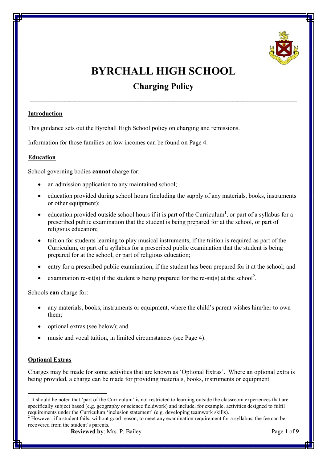

# **BYRCHALL HIGH SCHOOL**

# **Charging Policy**

**\_\_\_\_\_\_\_\_\_\_\_\_\_\_\_\_\_\_\_\_\_\_\_\_\_\_\_\_\_\_\_\_\_\_\_\_\_\_\_\_\_\_\_\_\_\_\_\_\_\_\_\_\_\_**

# **Introduction**

This guidance sets out the Byrchall High School policy on charging and remissions.

Information for those families on low incomes can be found on Page 4.

# **Education**

School governing bodies **cannot** charge for:

- an admission application to any maintained school;
- education provided during school hours (including the supply of any materials, books, instruments or other equipment);
- $\bullet$  education provided outside school hours if it is part of the Curriculum<sup>1</sup>, or part of a syllabus for a prescribed public examination that the student is being prepared for at the school, or part of religious education;
- tuition for students learning to play musical instruments, if the tuition is required as part of the Curriculum, or part of a syllabus for a prescribed public examination that the student is being prepared for at the school, or part of religious education;
- entry for a prescribed public examination, if the student has been prepared for it at the school; and
- examination re-sit(s) if the student is being prepared for the re-sit(s) at the school<sup>2</sup>.

Schools **can** charge for:

- any materials, books, instruments or equipment, where the child's parent wishes him/her to own them;
- · optional extras (see below); and
- music and vocal tuition, in limited circumstances (see Page 4).

# **Optional Extras**

Charges may be made for some activities that are known as 'Optional Extras'. Where an optional extra is being provided, a charge can be made for providing materials, books, instruments or equipment.

<sup>&</sup>lt;sup>1</sup> It should be noted that 'part of the Curriculum' is not restricted to learning outside the classroom experiences that are specifically subject based (e.g. geography or science fieldwork) and include, for example, activities designed to fulfil requirements under the Curriculum 'inclusion statement' (e.g. developing teamwork skills).

 $2$  However, if a student fails, without good reason, to meet any examination requirement for a syllabus, the fee can be recovered from the student's parents.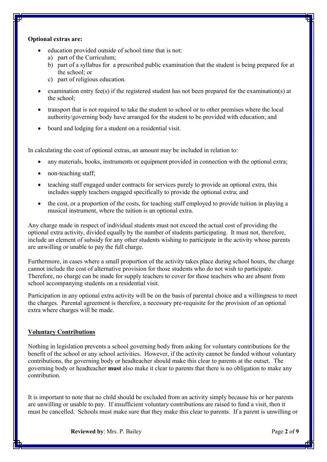#### **Optional extras are:**

- education provided outside of school time that is not:
	- a) part of the Curriculum;
	- b) part of a syllabus for a prescribed public examination that the student is being prepared for at the school; or
	- c) part of religious education.
- examination entry fee(s) if the registered student has not been prepared for the examination(s) at the school;
- · transport that is not required to take the student to school or to other premises where the local authority/governing body have arranged for the student to be provided with education; and
- board and lodging for a student on a residential visit.

In calculating the cost of optional extras, an amount may be included in relation to:

- any materials, books, instruments or equipment provided in connection with the optional extra;
- non-teaching staff;
- teaching staff engaged under contracts for services purely to provide an optional extra, this includes supply teachers engaged specifically to provide the optional extra; and
- · the cost, or a proportion of the costs, for teaching staff employed to provide tuition in playing a musical instrument, where the tuition is an optional extra.

Any charge made in respect of individual students must not exceed the actual cost of providing the optional extra activity, divided equally by the number of students participating. It must not, therefore, include an element of subsidy for any other students wishing to participate in the activity whose parents are unwilling or unable to pay the full charge.

Furthermore, in cases where a small proportion of the activity takes place during school hours, the charge cannot include the cost of alternative provision for those students who do not wish to participate. Therefore, no charge can be made for supply teachers to cover for those teachers who are absent from school accompanying students on a residential visit.

Participation in any optional extra activity will be on the basis of parental choice and a willingness to meet the charges. Parental agreement is therefore, a necessary pre-requisite for the provision of an optional extra where charges will be made.

#### **Voluntary Contributions**

Nothing in legislation prevents a school governing body from asking for voluntary contributions for the benefit of the school or any school activities. However, if the activity cannot be funded without voluntary contributions, the governing body or headteacher should make this clear to parents at the outset. The governing body or headteacher **must** also make it clear to parents that there is no obligation to make any contribution.

It is important to note that no child should be excluded from an activity simply because his or her parents are unwilling or unable to pay. If insufficient voluntary contributions are raised to fund a visit, then it must be cancelled. Schools must make sure that they make this clear to parents. If a parent is unwilling or

**Reviewed by**: Mrs. P. Bailey Page 2 of 9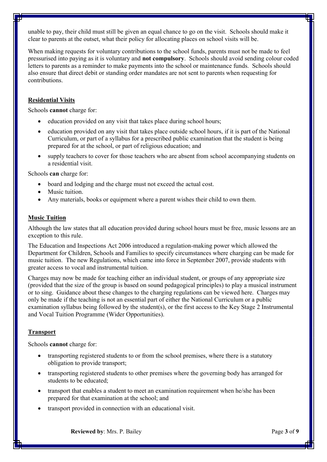unable to pay, their child must still be given an equal chance to go on the visit. Schools should make it clear to parents at the outset, what their policy for allocating places on school visits will be.

When making requests for voluntary contributions to the school funds, parents must not be made to feel pressurised into paying as it is voluntary and **not compulsory**. Schools should avoid sending colour coded letters to parents as a reminder to make payments into the school or maintenance funds. Schools should also ensure that direct debit or standing order mandates are not sent to parents when requesting for contributions.

# **Residential Visits**

Schools **cannot** charge for:

- education provided on any visit that takes place during school hours;
- · education provided on any visit that takes place outside school hours, if it is part of the National Curriculum, or part of a syllabus for a prescribed public examination that the student is being prepared for at the school, or part of religious education; and
- supply teachers to cover for those teachers who are absent from school accompanying students on a residential visit.

Schools **can** charge for:

- board and lodging and the charge must not exceed the actual cost.
- Music tuition.
- Any materials, books or equipment where a parent wishes their child to own them.

#### **Music Tuition**

Although the law states that all education provided during school hours must be free, music lessons are an exception to this rule.

The Education and Inspections Act 2006 introduced a regulation-making power which allowed the Department for Children, Schools and Families to specify circumstances where charging can be made for music tuition. The new Regulations, which came into force in September 2007, provide students with greater access to vocal and instrumental tuition.

Charges may now be made for teaching either an individual student, or groups of any appropriate size (provided that the size of the group is based on sound pedagogical principles) to play a musical instrument or to sing. Guidance about these changes to the charging regulations can be viewed here. Charges may only be made if the teaching is not an essential part of either the National Curriculum or a public examination syllabus being followed by the student(s), or the first access to the Key Stage 2 Instrumental and Vocal Tuition Programme (Wider Opportunities).

#### **Transport**

Schools **cannot** charge for:

- transporting registered students to or from the school premises, where there is a statutory obligation to provide transport;
- · transporting registered students to other premises where the governing body has arranged for students to be educated;
- · transport that enables a student to meet an examination requirement when he/she has been prepared for that examination at the school; and
- transport provided in connection with an educational visit.

**Reviewed by**: Mrs. P. Bailey Page 3 of 9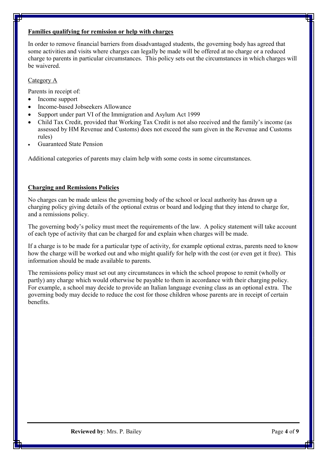# **Families qualifying for remission or help with charges**

In order to remove financial barriers from disadvantaged students, the governing body has agreed that some activities and visits where charges can legally be made will be offered at no charge or a reduced charge to parents in particular circumstances. This policy sets out the circumstances in which charges will be waivered.

# Category A

Parents in receipt of:

- Income support
- · Income-based Jobseekers Allowance
- Support under part VI of the Immigration and Asylum Act 1999
- · Child Tax Credit, provided that Working Tax Credit is not also received and the family's income (as assessed by HM Revenue and Customs) does not exceed the sum given in the Revenue and Customs rules)
- · Guaranteed State Pension

Additional categories of parents may claim help with some costs in some circumstances.

# **Charging and Remissions Policies**

No charges can be made unless the governing body of the school or local authority has drawn up a charging policy giving details of the optional extras or board and lodging that they intend to charge for, and a remissions policy.

The governing body's policy must meet the requirements of the law. A policy statement will take account of each type of activity that can be charged for and explain when charges will be made.

If a charge is to be made for a particular type of activity, for example optional extras, parents need to know how the charge will be worked out and who might qualify for help with the cost (or even get it free). This information should be made available to parents.

The remissions policy must set out any circumstances in which the school propose to remit (wholly or partly) any charge which would otherwise be payable to them in accordance with their charging policy. For example, a school may decide to provide an Italian language evening class as an optional extra. The governing body may decide to reduce the cost for those children whose parents are in receipt of certain benefits.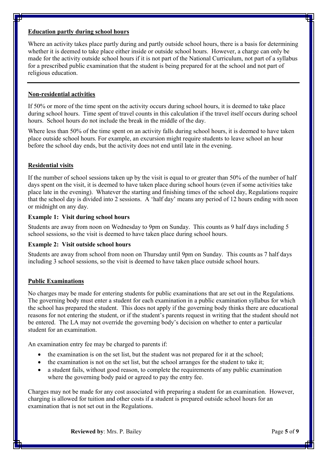#### **Education partly during school hours**

Where an activity takes place partly during and partly outside school hours, there is a basis for determining whether it is deemed to take place either inside or outside school hours. However, a charge can only be made for the activity outside school hours if it is not part of the National Curriculum, not part of a syllabus for a prescribed public examination that the student is being prepared for at the school and not part of religious education.

# **Non-residential activities**

If 50% or more of the time spent on the activity occurs during school hours, it is deemed to take place during school hours. Time spent of travel counts in this calculation if the travel itself occurs during school hours. School hours do not include the break in the middle of the day.

Where less than 50% of the time spent on an activity falls during school hours, it is deemed to have taken place outside school hours. For example, an excursion might require students to leave school an hour before the school day ends, but the activity does not end until late in the evening.

# **Residential visits**

If the number of school sessions taken up by the visit is equal to or greater than 50% of the number of half days spent on the visit, it is deemed to have taken place during school hours (even if some activities take place late in the evening). Whatever the starting and finishing times of the school day, Regulations require that the school day is divided into 2 sessions. A 'half day' means any period of 12 hours ending with noon or midnight on any day.

# **Example 1: Visit during school hours**

Students are away from noon on Wednesday to 9pm on Sunday. This counts as 9 half days including 5 school sessions, so the visit is deemed to have taken place during school hours.

# **Example 2: Visit outside school hours**

Students are away from school from noon on Thursday until 9pm on Sunday. This counts as 7 half days including 3 school sessions, so the visit is deemed to have taken place outside school hours.

# **Public Examinations**

No charges may be made for entering students for public examinations that are set out in the Regulations. The governing body must enter a student for each examination in a public examination syllabus for which the school has prepared the student. This does not apply if the governing body thinks there are educational reasons for not entering the student, or if the student's parents request in writing that the student should not be entered. The LA may not override the governing body's decision on whether to enter a particular student for an examination.

An examination entry fee may be charged to parents if:

- the examination is on the set list, but the student was not prepared for it at the school;
- the examination is not on the set list, but the school arranges for the student to take it;
- a student fails, without good reason, to complete the requirements of any public examination where the governing body paid or agreed to pay the entry fee.

Charges may not be made for any cost associated with preparing a student for an examination. However, charging is allowed for tuition and other costs if a student is prepared outside school hours for an examination that is not set out in the Regulations.

**Reviewed by**: Mrs. P. Bailey Page 5 of 9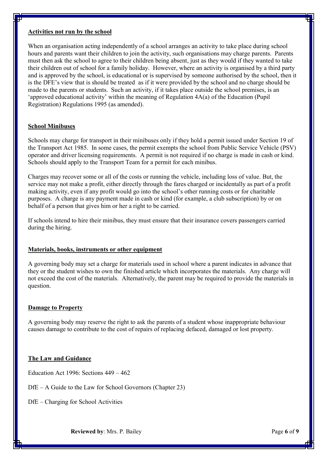#### **Activities not run by the school**

When an organisation acting independently of a school arranges an activity to take place during school hours and parents want their children to join the activity, such organisations may charge parents. Parents must then ask the school to agree to their children being absent, just as they would if they wanted to take their children out of school for a family holiday. However, where an activity is organised by a third party and is approved by the school, is educational or is supervised by someone authorised by the school, then it is the DFE's view that is should be treated as if it were provided by the school and no charge should be made to the parents or students. Such an activity, if it takes place outside the school premises, is an 'approved educational activity' within the meaning of Regulation 4A(a) of the Education (Pupil Registration) Regulations 1995 (as amended).

#### **School Minibuses**

Schools may charge for transport in their minibuses only if they hold a permit issued under Section 19 of the Transport Act 1985. In some cases, the permit exempts the school from Public Service Vehicle (PSV) operator and driver licensing requirements. A permit is not required if no charge is made in cash or kind. Schools should apply to the Transport Team for a permit for each minibus.

Charges may recover some or all of the costs or running the vehicle, including loss of value. But, the service may not make a profit, either directly through the fares charged or incidentally as part of a profit making activity, even if any profit would go into the school's other running costs or for charitable purposes. A charge is any payment made in cash or kind (for example, a club subscription) by or on behalf of a person that gives him or her a right to be carried.

If schools intend to hire their minibus, they must ensure that their insurance covers passengers carried during the hiring.

#### **Materials, books, instruments or other equipment**

A governing body may set a charge for materials used in school where a parent indicates in advance that they or the student wishes to own the finished article which incorporates the materials. Any charge will not exceed the cost of the materials. Alternatively, the parent may be required to provide the materials in question.

#### **Damage to Property**

A governing body may reserve the right to ask the parents of a student whose inappropriate behaviour causes damage to contribute to the cost of repairs of replacing defaced, damaged or lost property.

#### **The Law and Guidance**

Education Act 1996: Sections 449 – 462

DfE – A Guide to the Law for School Governors (Chapter 23)

DfE – Charging for School Activities

**Reviewed by**: Mrs. P. Bailey Page 6 of 9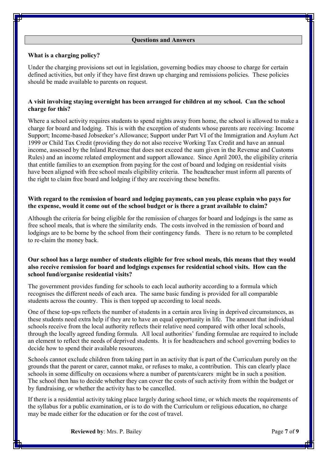#### **Questions and Answers**

#### **What is a charging policy?**

Under the charging provisions set out in legislation, governing bodies may choose to charge for certain defined activities, but only if they have first drawn up charging and remissions policies. These policies should be made available to parents on request.

#### **A visit involving staying overnight has been arranged for children at my school. Can the school charge for this?**

Where a school activity requires students to spend nights away from home, the school is allowed to make a charge for board and lodging. This is with the exception of students whose parents are receiving: Income Support; Income-based Jobseeker's Allowance; Support under Part VI of the Immigration and Asylum Act 1999 or Child Tax Credit (providing they do not also receive Working Tax Credit and have an annual income, assessed by the Inland Revenue that does not exceed the sum given in the Revenue and Customs Rules) and an income related employment and support allowance. Since April 2003, the eligibility criteria that entitle families to an exemption from paying for the cost of board and lodging on residential visits have been aligned with free school meals eligibility criteria. The headteacher must inform all parents of the right to claim free board and lodging if they are receiving these benefits.

#### **With regard to the remission of board and lodging payments, can you please explain who pays for the expense, would it come out of the school budget or is there a grant available to claim?**

Although the criteria for being eligible for the remission of charges for board and lodgings is the same as free school meals, that is where the similarity ends. The costs involved in the remission of board and lodgings are to be borne by the school from their contingency funds. There is no return to be completed to re-claim the money back.

# **Our school has a large number of students eligible for free school meals, this means that they would also receive remission for board and lodgings expenses for residential school visits. How can the school fund/organise residential visits?**

The government provides funding for schools to each local authority according to a formula which recognises the different needs of each area. The same basic funding is provided for all comparable students across the country. This is then topped up according to local needs.

One of these top-ups reflects the number of students in a certain area living in deprived circumstances, as these students need extra help if they are to have an equal opportunity in life. The amount that individual schools receive from the local authority reflects their relative need compared with other local schools, through the locally agreed funding formula. All local authorities' funding formulae are required to include an element to reflect the needs of deprived students. It is for headteachers and school governing bodies to decide how to spend their available resources.

Schools cannot exclude children from taking part in an activity that is part of the Curriculum purely on the grounds that the parent or carer, cannot make, or refuses to make, a contribution. This can clearly place schools in some difficulty on occasions where a number of parents/carers might be in such a position. The school then has to decide whether they can cover the costs of such activity from within the budget or by fundraising, or whether the activity has to be cancelled.

If there is a residential activity taking place largely during school time, or which meets the requirements of the syllabus for a public examination, or is to do with the Curriculum or religious education, no charge may be made either for the education or for the cost of travel.

**Reviewed by**: Mrs. P. Bailey Page 7 of 9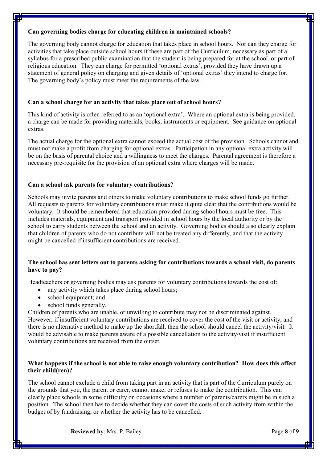### **Can governing bodies charge for educating children in maintained schools?**

The governing body cannot charge for education that takes place in school hours. Nor can they charge for activities that take place outside school hours if these are part of the Curriculum, necessary as part of a syllabus for a prescribed public examination that the student is being prepared for at the school, or part of religious education. They can charge for permitted 'optional extras', provided they have drawn up a statement of general policy on charging and given details of 'optional extras' they intend to charge for. The governing body's policy must meet the requirements of the law.

# **Can a school charge for an activity that takes place out of school hours?**

This kind of activity is often referred to as an 'optional extra'. Where an optional extra is being provided, a charge can be made for providing materials, books, instruments or equipment. See guidance on optional extras.

The actual charge for the optional extra cannot exceed the actual cost of the provision. Schools cannot and must not make a profit from charging for optional extras. Participation in any optional extra activity will be on the basis of parental choice and a willingness to meet the charges. Parental agreement is therefore a necessary pre-requisite for the provision of an optional extra where charges will be made.

# **Can a school ask parents for voluntary contributions?**

Schools may invite parents and others to make voluntary contributions to make school funds go further. All requests to parents for voluntary contributions must make it quite clear that the contributions would be voluntary. It should be remembered that education provided during school hours must be free. This includes materials, equipment and transport provided in school hours by the local authority or by the school to carry students between the school and an activity. Governing bodies should also clearly explain that children of parents who do not contribute will not be treated any differently, and that the activity might be cancelled if insufficient contributions are received.

# **The school has sent letters out to parents asking for contributions towards a school visit, do parents have to pay?**

Headteachers or governing bodies may ask parents for voluntary contributions towards the cost of:

- any activity which takes place during school hours;
- school equipment; and
- school funds generally.

Children of parents who are unable, or unwilling to contribute may not be discriminated against. However, if insufficient voluntary contributions are received to cover the cost of the visit or activity, and there is no alternative method to make up the shortfall, then the school should cancel the activity/visit. It would be advisable to make parents aware of a possible cancellation to the activity/visit if insufficient voluntary contributions are received from the outset.

# **What happens if the school is not able to raise enough voluntary contribution? How does this affect their child(ren)?**

The school cannot exclude a child from taking part in an activity that is part of the Curriculum purely on the grounds that you, the parent or carer, cannot make, or refuses to make the contribution. This can clearly place schools in some difficulty on occasions where a number of parents/carers might be in such a position. The school then has to decide whether they can cover the costs of such activity from within the budget of by fundraising, or whether the activity has to be cancelled.

**Reviewed by**: Mrs. P. Bailey Page 8 of 9